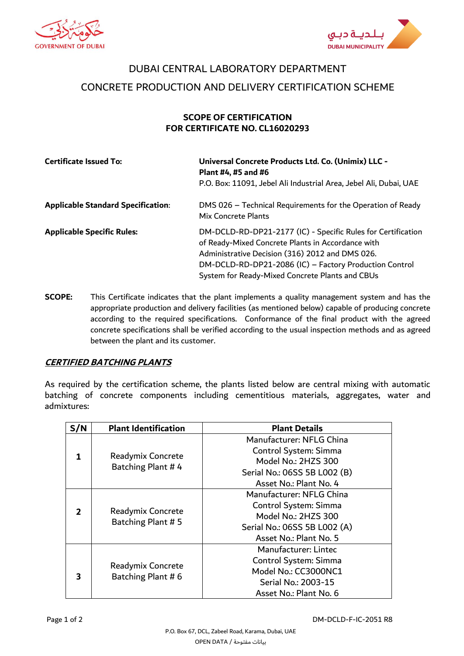



## DUBAI CENTRAL LABORATORY DEPARTMENT CONCRETE PRODUCTION AND DELIVERY CERTIFICATION SCHEME

## **SCOPE OF CERTIFICATION FOR CERTIFICATE NO. CL16020293**

| <b>Certificate Issued To:</b>             | Universal Concrete Products Ltd. Co. (Unimix) LLC -<br>Plant #4, #5 and #6<br>P.O. Box: 11091, Jebel Ali Industrial Area, Jebel Ali, Dubai, UAE                                                                                                                                   |
|-------------------------------------------|-----------------------------------------------------------------------------------------------------------------------------------------------------------------------------------------------------------------------------------------------------------------------------------|
| <b>Applicable Standard Specification:</b> | DMS 026 - Technical Requirements for the Operation of Ready<br>Mix Concrete Plants                                                                                                                                                                                                |
| <b>Applicable Specific Rules:</b>         | DM-DCLD-RD-DP21-2177 (IC) - Specific Rules for Certification<br>of Ready-Mixed Concrete Plants in Accordance with<br>Administrative Decision (316) 2012 and DMS 026.<br>DM-DCLD-RD-DP21-2086 (IC) - Factory Production Control<br>System for Ready-Mixed Concrete Plants and CBUs |

**SCOPE:** This Certificate indicates that the plant implements a quality management system and has the appropriate production and delivery facilities (as mentioned below) capable of producing concrete according to the required specifications. Conformance of the final product with the agreed concrete specifications shall be verified according to the usual inspection methods and as agreed between the plant and its customer.

## **CERTIFIED BATCHING PLANTS**

As required by the certification scheme, the plants listed below are central mixing with automatic batching of concrete components including cementitious materials, aggregates, water and admixtures:

| S/N | <b>Plant Identification</b>             | <b>Plant Details</b>                                                                                                               |
|-----|-----------------------------------------|------------------------------------------------------------------------------------------------------------------------------------|
| 1   | Readymix Concrete<br>Batching Plant #4  | Manufacturer: NFLG China<br>Control System: Simma<br>Model No.: 2HZS 300<br>Serial No.: 06SS 5B L002 (B)<br>Asset No.: Plant No. 4 |
| 2   | Readymix Concrete<br>Batching Plant # 5 | Manufacturer: NFLG China<br>Control System: Simma<br>Model No.: 2HZS 300<br>Serial No.: 06SS 5B L002 (A)<br>Asset No.: Plant No. 5 |
| 3   | Readymix Concrete<br>Batching Plant #6  | Manufacturer: Lintec<br>Control System: Simma<br>Model No.: CC3000NC1<br>Serial No.: 2003-15<br>Asset No.: Plant No. 6             |